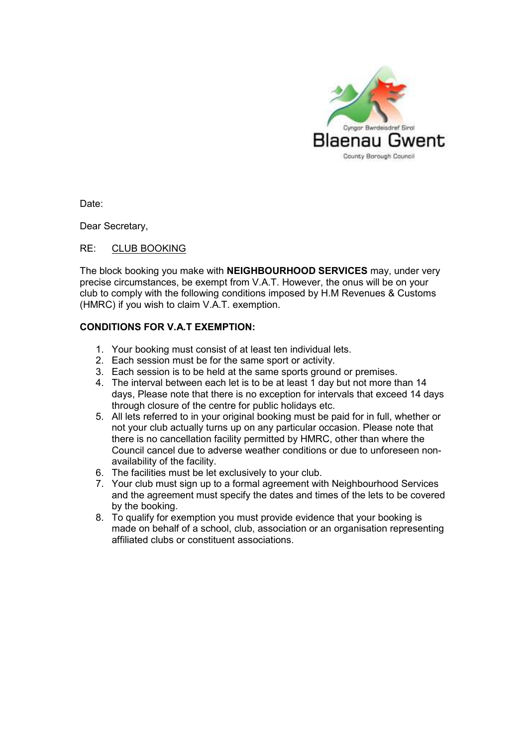

Date:

Dear Secretary,

## RE: CLUB BOOKING

The block booking you make with **NEIGHBOURHOOD SERVICES** may, under very precise circumstances, be exempt from V.A.T. However, the onus will be on your club to comply with the following conditions imposed by H.M Revenues & Customs (HMRC) if you wish to claim V.A.T. exemption.

## **CONDITIONS FOR V.A.T EXEMPTION:**

- 1. Your booking must consist of at least ten individual lets.
- 2. Each session must be for the same sport or activity.
- 3. Each session is to be held at the same sports ground or premises.
- 4. The interval between each let is to be at least 1 day but not more than 14 days, Please note that there is no exception for intervals that exceed 14 days through closure of the centre for public holidays etc.
- 5. All lets referred to in your original booking must be paid for in full, whether or not your club actually turns up on any particular occasion. Please note that there is no cancellation facility permitted by HMRC, other than where the Council cancel due to adverse weather conditions or due to unforeseen nonavailability of the facility.
- 6. The facilities must be let exclusively to your club.
- 7. Your club must sign up to a formal agreement with Neighbourhood Services and the agreement must specify the dates and times of the lets to be covered by the booking.
- 8. To qualify for exemption you must provide evidence that your booking is made on behalf of a school, club, association or an organisation representing affiliated clubs or constituent associations.